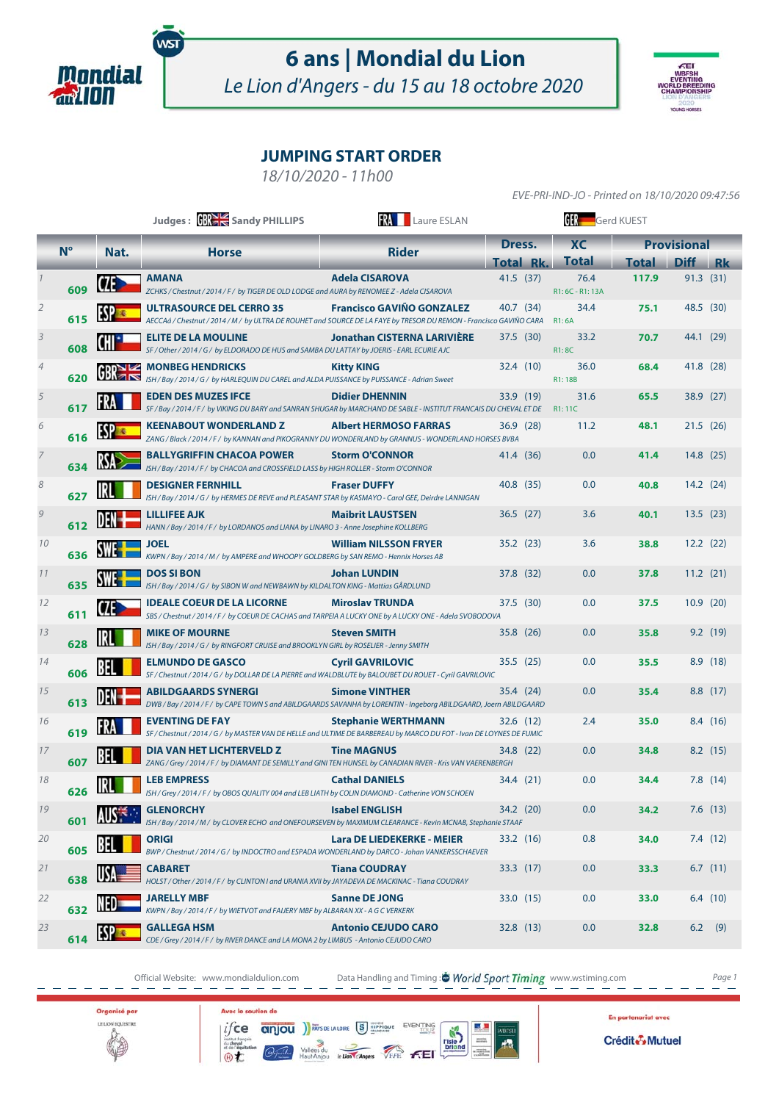

# **6 ans | Mondial du Lion**

Le Lion d'Angers - du 15 au 18 octobre 2020



EVE-PRI-IND-JO - Printed on 18/10/2020 09:47:56

## **JUMPING START ORDER**

18/10/2020 - 11h00

|                |                     |                 | Judges: <b>BREE</b> Sandy PHILLIPS                                                                                                                    | <b>RA</b> Laure ESLAN              | <b>GER</b> Gerd KUEST |                          |                    |             |    |
|----------------|---------------------|-----------------|-------------------------------------------------------------------------------------------------------------------------------------------------------|------------------------------------|-----------------------|--------------------------|--------------------|-------------|----|
|                | $N^{\circ}$<br>Nat. |                 | <b>Horse</b>                                                                                                                                          | <b>Rider</b>                       | <b>XC</b><br>Dress.   |                          | <b>Provisional</b> |             |    |
|                |                     |                 |                                                                                                                                                       |                                    | <b>Total Rk.</b>      | <b>Total</b>             | <b>Total</b>       | <b>Diff</b> | Rk |
|                | 609                 |                 | <b>AMANA</b><br>ZCHKS / Chestnut / 2014 / F / by TIGER DE OLD LODGE and AURA by RENOMEE Z - Adela CISAROVA                                            | <b>Adela CISAROVA</b>              | 41.5 (37)             | 76.4<br>R1: 6C - R1: 13A | 117.9              | 91.3 (31)   |    |
| $\overline{2}$ | 615                 |                 | <b>ULTRASOURCE DEL CERRO 35</b><br>AECCAá / Chestnut / 2014 / M / by ULTRA DE ROUHET and SOURCE DE LA FAYE by TRESOR DU REMON - Francisco GAVIÑO CARA | <b>Francisco GAVIÑO GONZALEZ</b>   | 40.7 (34)             | 34.4<br><b>R1:6A</b>     | 75.1               | 48.5 (30)   |    |
| $\overline{3}$ | 608                 |                 | <b>ELITE DE LA MOULINE</b><br>SF / Other / 2014 / G / by ELDORADO DE HUS and SAMBA DU LATTAY by JOERIS - EARL ECURIE AJC                              | <b>Jonathan CISTERNA LARIVIÈRE</b> | 37.5(30)              | 33.2<br><b>R1:8C</b>     | 70.7               | 44.1 (29)   |    |
| 4              | 620                 | GR <sub>1</sub> | <b>MONBEG HENDRICKS</b><br>ISH / Bay / 2014 / G / by HARLEQUIN DU CAREL and ALDA PUISSANCE by PUISSANCE - Adrian Sweet                                | <b>Kitty KING</b>                  | 32.4 (10)             | 36.0<br>R1:18B           | 68.4               | 41.8 (28)   |    |
| 5              | 617                 |                 | <b>EDEN DES MUZES IFCE</b><br>SF / Bay / 2014 / F / by VIKING DU BARY and SANRAN SHUGAR by MARCHAND DE SABLE - INSTITUT FRANCAIS DU CHEVAL ET DE      | <b>Didier DHENNIN</b>              | 33.9 (19)             | 31.6<br>R1:11C           | 65.5               | 38.9 (27)   |    |
| 6              | 616                 |                 | <b>KEENABOUT WONDERLAND Z</b><br>ZANG / Black / 2014 / F / by KANNAN and PIKOGRANNY DU WONDERLAND by GRANNUS - WONDERLAND HORSES BVBA                 | <b>Albert HERMOSO FARRAS</b>       | 36.9(28)              | 11.2                     | 48.1               | 21.5(26)    |    |
|                | 634                 |                 | <b>BALLYGRIFFIN CHACOA POWER</b><br>ISH / Bay / 2014 / F / by CHACOA and CROSSFIELD LASS by HIGH ROLLER - Storm O'CONNOR                              | <b>Storm O'CONNOR</b>              | 41.4 (36)             | 0.0                      | 41.4               | 14.8(25)    |    |
| 8              | 627                 |                 | <b>DESIGNER FERNHILL</b><br>ISH / Bay / 2014 / G / by HERMES DE REVE and PLEASANT STAR by KASMAYO - Carol GEE, Deirdre LANNIGAN                       | <b>Fraser DUFFY</b>                | 40.8 (35)             | 0.0                      | 40.8               | 14.2(24)    |    |
| 9              | 612                 |                 | <b>LILLIFEE AJK</b><br>HANN / Bay / 2014 / F / by LORDANOS and LIANA by LINARO 3 - Anne Josephine KOLLBERG                                            | <b>Maibrit LAUSTSEN</b>            | 36.5(27)              | 3.6                      | 40.1               | 13.5(23)    |    |
| 10             | 636                 |                 | <b>JOEL</b><br>KWPN / Bay / 2014 / M / by AMPERE and WHOOPY GOLDBERG by SAN REMO - Hennix Horses AB                                                   | <b>William NILSSON FRYER</b>       | 35.2(23)              | 3.6                      | 38.8               | 12.2(22)    |    |
| 11             | 635                 |                 | <b>DOS SI BON</b><br>ISH / Bay / 2014 / G / by SIBON W and NEWBAWN by KILDALTON KING - Mattias GÅRDLUND                                               | <b>Johan LUNDIN</b>                | 37.8 (32)             | 0.0                      | 37.8               | 11.2(21)    |    |
| 12             | 611                 | VI              | <b>IDEALE COEUR DE LA LICORNE</b><br>SBS / Chestnut / 2014 / F / by COEUR DE CACHAS and TARPEIA A LUCKY ONE by A LUCKY ONE - Adela SVOBODOVA          | <b>Miroslav TRUNDA</b>             | 37.5 (30)             | 0.0                      | 37.5               | 10.9(20)    |    |
| 13             | 628                 |                 | <b>MIKE OF MOURNE</b><br>ISH / Bay / 2014 / G / by RINGFORT CRUISE and BROOKLYN GIRL by ROSELIER - Jenny SMITH                                        | <b>Steven SMITH</b>                | 35.8 (26)             | 0.0                      | 35.8               | 9.2(19)     |    |
| 14             | 606                 |                 | <b>ELMUNDO DE GASCO</b><br>SF / Chestnut / 2014 / G / by DOLLAR DE LA PIERRE and WALDBLUTE by BALOUBET DU ROUET - Cyril GAVRILOVIC                    | <b>Cyril GAVRILOVIC</b>            | 35.5(25)              | 0.0                      | 35.5               | 8.9(18)     |    |
| 15             | 613                 |                 | <b>ABILDGAARDS SYNERGI</b><br>DWB / Bay / 2014 / F / by CAPE TOWN S and ABILDGAARDS SAVANHA by LORENTIN - Ingeborg ABILDGAARD, Joern ABILDGAARD       | <b>Simone VINTHER</b>              | 35.4 (24)             | 0.0                      | 35.4               | 8.8(17)     |    |
| 16             | 619                 |                 | <b>EVENTING DE FAY</b><br>SF / Chestnut / 2014 / G / by MASTER VAN DE HELLE and ULTIME DE BARBEREAU by MARCO DU FOT - Ivan DE LOYNES DE FUMIC         | <b>Stephanie WERTHMANN</b>         | 32.6 (12)             | 2.4                      | 35.0               | 8.4 (16)    |    |
| 17             | 607                 |                 | <b>DIA VAN HET LICHTERVELD Z</b><br>ZANG / Grey / 2014 / F / by DIAMANT DE SEMILLY and GINI TEN HUNSEL by CANADIAN RIVER - Kris VAN VAERENBERGH       | <b>Tine MAGNUS</b>                 | 34.8 (22)             | 0.0                      | 34.8               | $8.2$ (15)  |    |
| 18             | 626                 |                 | <b>LEB EMPRESS</b><br>ISH / Grey / 2014 / F / by OBOS QUALITY 004 and LEB LIATH by COLIN DIAMOND - Catherine VON SCHOEN                               | <b>Cathal DANIELS</b>              | 34.4 (21)             | 0.0                      | 34.4               | 7.8(14)     |    |
| 19             | 601                 |                 | <b>GLENORCHY</b><br>ISH / Bay / 2014 / M / by CLOVER ECHO and ONEFOURSEVEN by MAXIMUM CLEARANCE - Kevin MCNAB, Stephanie STAAF                        | <b>Isabel ENGLISH</b>              | 34.2 (20)             | 0.0                      | 34.2               | $7.6$ (13)  |    |
| 20             | 605                 |                 | ORIGI<br>BWP / Chestnut / 2014 / G / by INDOCTRO and ESPADA WONDERLAND by DARCO - Johan VANKERSSCHAEVER                                               | <b>Lara DE LIEDEKERKE - MEIER</b>  | 33.2 (16)             | 0.8                      | 34.0               | 7.4(12)     |    |
| 21             | 638                 |                 | <b>CABARET</b><br>HOLST / Other / 2014 / F / by CLINTON I and URANIA XVII by JAYADEVA DE MACKINAC - Tiana COUDRAY                                     | <b>Tiana COUDRAY</b>               | 33.3(17)              | 0.0                      | 33.3               | 6.7(11)     |    |
| 22             | 632                 |                 | JARELLY MBF<br>KWPN / Bay / 2014 / F / by WIETVOT and FAIJERY MBF by ALBARAN XX - A G C VERKERK                                                       | <b>Sanne DE JONG</b>               | 33.0 (15)             | 0.0                      | 33.0               | 6.4(10)     |    |
| 23             | 614                 |                 | <b>GALLEGA HSM</b><br>CDE / Grey / 2014 / F / by RIVER DANCE and LA MONA 2 by LIMBUS - Antonio CEJUDO CARO                                            | <b>Antonio CEJUDO CARO</b>         | 32.8 (13)             | 0.0                      | 32.8               | $6.2$ (9)   |    |

Official Website: www.mondialdulion.com Data Handling and Timing : <sup>\*</sup> World Sport Timing www.wstiming.com Page 1



Avec le soutien de instruction<br>du cheval<br>et de l'équ

 $if$ ce anjou  $f(x)$   $\frac{1}{x}$   $\frac{1}{x}$   $\frac{1}{x}$   $\frac{1}{x}$   $\frac{1}{x}$   $\frac{1}{x}$   $\frac{1}{x}$   $\frac{1}{x}$   $\frac{1}{x}$   $\frac{1}{x}$   $\frac{1}{x}$   $\frac{1}{x}$   $\frac{1}{x}$   $\frac{1}{x}$   $\frac{1}{x}$   $\frac{1}{x}$   $\frac{1}{x}$   $\frac{1}{x}$   $\frac{1}{x}$   $\frac{1}{x}$   $\frac$  $\overline{\mathscr{C}}$ 

反射 **Pisle** WBESH En partenariat avec

Crédit Mutuel